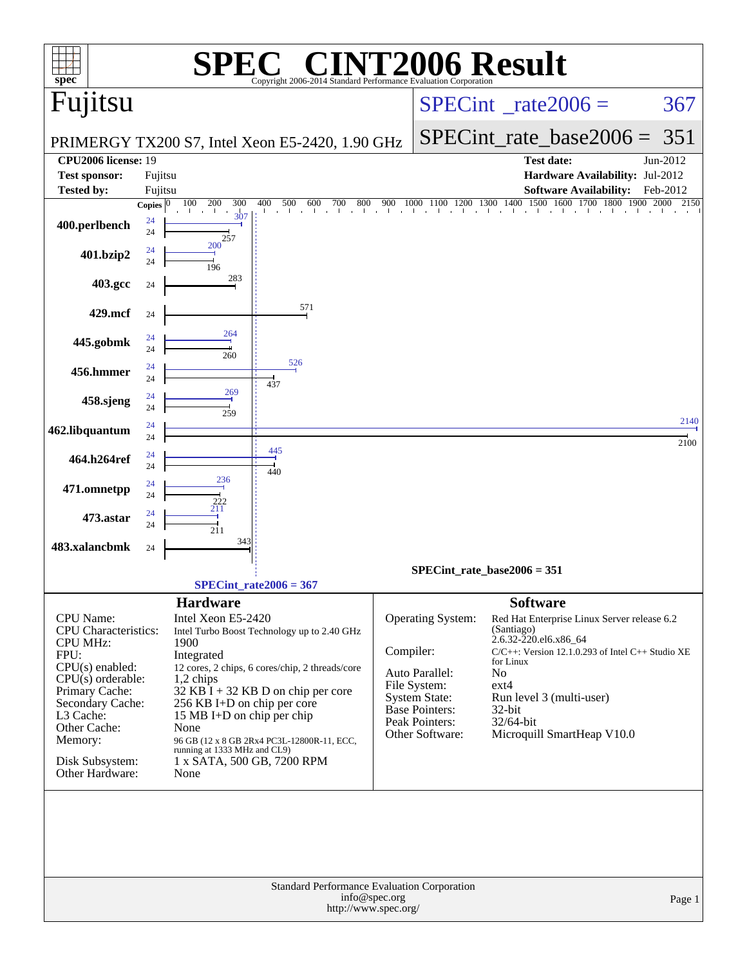| $\mathbf{Spec}^*$                                                                                                                                                                                                                          | $\sqrt{P}$<br>Copyright 2006-2014 Standard Performance Evaluation Corporation                                                                                                                                                                                                                                                                                                                               | <b>INT2006 Result</b>                                                                                                                                                                                                                                                                                                                                                                                                                                   |              |
|--------------------------------------------------------------------------------------------------------------------------------------------------------------------------------------------------------------------------------------------|-------------------------------------------------------------------------------------------------------------------------------------------------------------------------------------------------------------------------------------------------------------------------------------------------------------------------------------------------------------------------------------------------------------|---------------------------------------------------------------------------------------------------------------------------------------------------------------------------------------------------------------------------------------------------------------------------------------------------------------------------------------------------------------------------------------------------------------------------------------------------------|--------------|
| Fujitsu                                                                                                                                                                                                                                    |                                                                                                                                                                                                                                                                                                                                                                                                             | $SPECint^{\circ}$ <sub>_rate2006</sub> =                                                                                                                                                                                                                                                                                                                                                                                                                | 367          |
|                                                                                                                                                                                                                                            | PRIMERGY TX200 S7, Intel Xeon E5-2420, 1.90 GHz                                                                                                                                                                                                                                                                                                                                                             | $SPECint$ rate_base2006 =                                                                                                                                                                                                                                                                                                                                                                                                                               | 351          |
| <b>CPU2006</b> license: 19<br><b>Test sponsor:</b>                                                                                                                                                                                         | Fujitsu                                                                                                                                                                                                                                                                                                                                                                                                     | <b>Test date:</b><br>Hardware Availability: Jul-2012                                                                                                                                                                                                                                                                                                                                                                                                    | Jun-2012     |
| <b>Tested by:</b>                                                                                                                                                                                                                          | Fujitsu                                                                                                                                                                                                                                                                                                                                                                                                     | <b>Software Availability:</b>                                                                                                                                                                                                                                                                                                                                                                                                                           | Feb-2012     |
| 400.perlbench                                                                                                                                                                                                                              | 100<br>200<br>300<br>400<br>500<br>600<br>800<br>700<br><b>Copies</b><br>307<br>24<br>24<br>257                                                                                                                                                                                                                                                                                                             | $1100\begin{array}{c ccccc}1200&1300&1400&1500&1600&1700&1800&1900\\ \hline \end{array}$<br>900<br>1000                                                                                                                                                                                                                                                                                                                                                 | 2000<br>2150 |
| 401.bzip2                                                                                                                                                                                                                                  | 200<br>24<br>24<br>196                                                                                                                                                                                                                                                                                                                                                                                      |                                                                                                                                                                                                                                                                                                                                                                                                                                                         |              |
| 403.gcc                                                                                                                                                                                                                                    | 283<br>24                                                                                                                                                                                                                                                                                                                                                                                                   |                                                                                                                                                                                                                                                                                                                                                                                                                                                         |              |
| 429.mcf                                                                                                                                                                                                                                    | 571<br>24                                                                                                                                                                                                                                                                                                                                                                                                   |                                                                                                                                                                                                                                                                                                                                                                                                                                                         |              |
| 445.gobmk                                                                                                                                                                                                                                  | 264<br>24<br>24<br>260                                                                                                                                                                                                                                                                                                                                                                                      |                                                                                                                                                                                                                                                                                                                                                                                                                                                         |              |
| 456.hmmer                                                                                                                                                                                                                                  | 526<br>24<br>24<br>437                                                                                                                                                                                                                                                                                                                                                                                      |                                                                                                                                                                                                                                                                                                                                                                                                                                                         |              |
| 458.sjeng                                                                                                                                                                                                                                  | 269<br>24<br>24<br>259                                                                                                                                                                                                                                                                                                                                                                                      |                                                                                                                                                                                                                                                                                                                                                                                                                                                         |              |
| 462.libquantum                                                                                                                                                                                                                             | 24<br>24                                                                                                                                                                                                                                                                                                                                                                                                    |                                                                                                                                                                                                                                                                                                                                                                                                                                                         | 2140<br>2100 |
| 464.h264ref                                                                                                                                                                                                                                | 445<br>24<br>24                                                                                                                                                                                                                                                                                                                                                                                             |                                                                                                                                                                                                                                                                                                                                                                                                                                                         |              |
| 471.omnetpp                                                                                                                                                                                                                                | 440<br>236<br>24<br>24                                                                                                                                                                                                                                                                                                                                                                                      |                                                                                                                                                                                                                                                                                                                                                                                                                                                         |              |
| 473.astar                                                                                                                                                                                                                                  | 222<br>211<br>24<br>24                                                                                                                                                                                                                                                                                                                                                                                      |                                                                                                                                                                                                                                                                                                                                                                                                                                                         |              |
| 483.xalancbmk                                                                                                                                                                                                                              | 211<br>343<br>24                                                                                                                                                                                                                                                                                                                                                                                            |                                                                                                                                                                                                                                                                                                                                                                                                                                                         |              |
|                                                                                                                                                                                                                                            | $SPECint_rate2006 = 367$                                                                                                                                                                                                                                                                                                                                                                                    | $SPECint_rate_base2006 = 351$                                                                                                                                                                                                                                                                                                                                                                                                                           |              |
|                                                                                                                                                                                                                                            |                                                                                                                                                                                                                                                                                                                                                                                                             |                                                                                                                                                                                                                                                                                                                                                                                                                                                         |              |
| <b>CPU</b> Name:<br><b>CPU</b> Characteristics:<br><b>CPU MHz:</b><br>FPU:<br>$CPU(s)$ enabled:<br>$CPU(s)$ orderable:<br>Primary Cache:<br>Secondary Cache:<br>L3 Cache:<br>Other Cache:<br>Memory:<br>Disk Subsystem:<br>Other Hardware: | <b>Hardware</b><br>Intel Xeon E5-2420<br>Intel Turbo Boost Technology up to 2.40 GHz<br>1900<br>Integrated<br>12 cores, 2 chips, 6 cores/chip, 2 threads/core<br>1,2 chips<br>$32$ KB I + 32 KB D on chip per core<br>256 KB I+D on chip per core<br>15 MB I+D on chip per chip<br>None<br>96 GB (12 x 8 GB 2Rx4 PC3L-12800R-11, ECC,<br>running at 1333 MHz and CL9)<br>1 x SATA, 500 GB, 7200 RPM<br>None | <b>Software</b><br>Operating System:<br>Red Hat Enterprise Linux Server release 6.2<br>(Santiago)<br>2.6.32-220.el6.x86_64<br>Compiler:<br>$C/C++$ : Version 12.1.0.293 of Intel $C++$ Studio XE<br>for Linux<br>Auto Parallel:<br>N <sub>o</sub><br>File System:<br>$ext{4}$<br><b>System State:</b><br>Run level 3 (multi-user)<br><b>Base Pointers:</b><br>$32$ -bit<br>Peak Pointers:<br>32/64-bit<br>Microquill SmartHeap V10.0<br>Other Software: |              |
|                                                                                                                                                                                                                                            | <b>Standard Performance Evaluation Corporation</b><br>info@spec.org<br>http://www.spec.org/                                                                                                                                                                                                                                                                                                                 |                                                                                                                                                                                                                                                                                                                                                                                                                                                         | Page 1       |
|                                                                                                                                                                                                                                            |                                                                                                                                                                                                                                                                                                                                                                                                             |                                                                                                                                                                                                                                                                                                                                                                                                                                                         |              |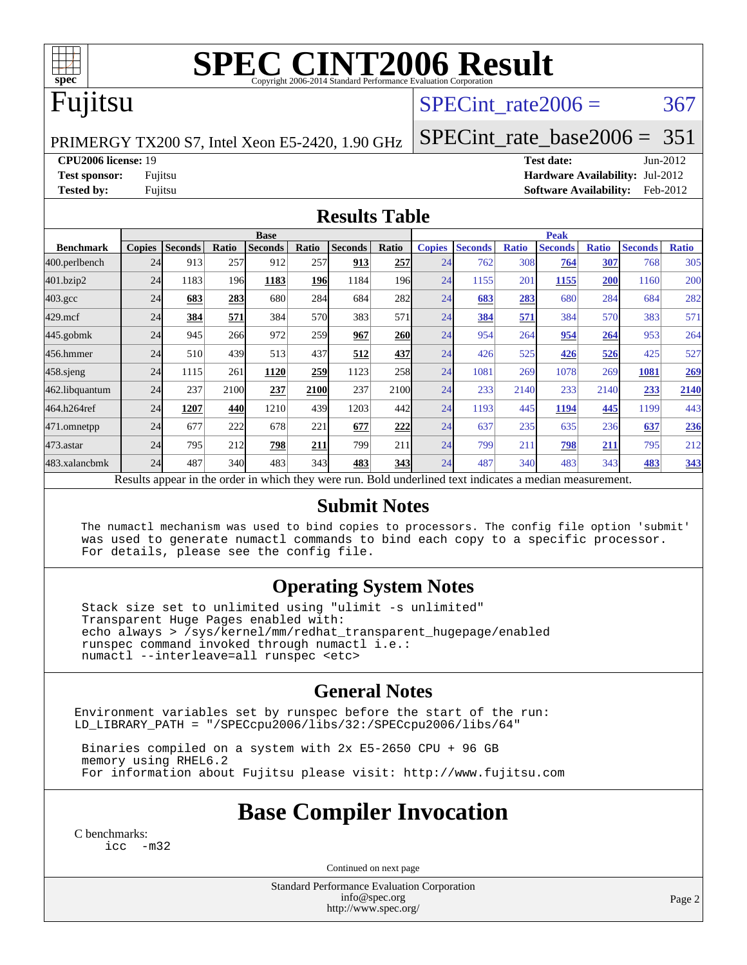

# **[SPEC CINT2006 Result](http://www.spec.org/auto/cpu2006/Docs/result-fields.html#SPECCINT2006Result)**

### Fujitsu

#### SPECint rate $2006 = 367$

PRIMERGY TX200 S7, Intel Xeon E5-2420, 1.90 GHz

[SPECint\\_rate\\_base2006 =](http://www.spec.org/auto/cpu2006/Docs/result-fields.html#SPECintratebase2006) 351

**[CPU2006 license:](http://www.spec.org/auto/cpu2006/Docs/result-fields.html#CPU2006license)** 19 **[Test date:](http://www.spec.org/auto/cpu2006/Docs/result-fields.html#Testdate)** Jun-2012

**[Test sponsor:](http://www.spec.org/auto/cpu2006/Docs/result-fields.html#Testsponsor)** Fujitsu **[Hardware Availability:](http://www.spec.org/auto/cpu2006/Docs/result-fields.html#HardwareAvailability)** Jul-2012 **[Tested by:](http://www.spec.org/auto/cpu2006/Docs/result-fields.html#Testedby)** Fujitsu **[Software Availability:](http://www.spec.org/auto/cpu2006/Docs/result-fields.html#SoftwareAvailability)** Feb-2012

#### **[Results Table](http://www.spec.org/auto/cpu2006/Docs/result-fields.html#ResultsTable)**

|                    | <b>Base</b>   |                |       |                                                                                                          |            |                | <b>Peak</b> |               |                |              |                |              |                |              |
|--------------------|---------------|----------------|-------|----------------------------------------------------------------------------------------------------------|------------|----------------|-------------|---------------|----------------|--------------|----------------|--------------|----------------|--------------|
| <b>Benchmark</b>   | <b>Copies</b> | <b>Seconds</b> | Ratio | <b>Seconds</b>                                                                                           | Ratio      | <b>Seconds</b> | Ratio       | <b>Copies</b> | <b>Seconds</b> | <b>Ratio</b> | <b>Seconds</b> | <b>Ratio</b> | <b>Seconds</b> | <b>Ratio</b> |
| 400.perlbench      | 24            | 913            | 257   | 912                                                                                                      | 257        | 913            | 257         | 24            | 762            | 308          | 764            | 307          | 768            | 305          |
| 401.bzip2          | 24            | 1183           | 196   | 1183                                                                                                     | <b>196</b> | 1184           | 196I        | 24            | 1155           | 201          | 1155           | 200          | 1160           | 200          |
| $403.\mathrm{gcc}$ | 24            | 683            | 283   | 680                                                                                                      | 284        | 684            | 282         | 24            | 683            | 283          | 680            | 284          | 684            | 282          |
| $429$ .mcf         | 24            | 384            | 571   | 384                                                                                                      | 570        | 383            | 571         | 24            | 384            | 571          | 384            | 570          | 383            | 571          |
| $445$ .gobmk       | 24            | 945            | 266   | 972                                                                                                      | 259        | 967            | <b>260</b>  | 24            | 954            | 264          | 954            | 264          | 953            | 264          |
| 456.hmmer          | 24            | 510            | 439   | 513                                                                                                      | 437        | 512            | 437         | 24            | 426            | 525          | 426            | 526          | 425            | 527          |
| $458$ .sjeng       | 24            | 1115           | 261   | 1120                                                                                                     | 259        | 1123           | 258         | 24            | 1081           | 269          | 1078           | 269          | 1081           | 269          |
| 462.libquantum     | 24            | 237            | 2100  | 237                                                                                                      | 2100       | 237            | 2100        | 24            | 233            | 2140         | 233            | 2140         | 233            | 2140         |
| 464.h264ref        | 24            | 1207           | 440   | 1210                                                                                                     | 439        | 1203           | 442         | 24            | 1193           | 445          | 1194           | 445          | 1199           | 443          |
| 471.omnetpp        | 24            | 677            | 222   | 678                                                                                                      | 221        | 677            | 222         | 24            | 637            | 235          | 635            | 236          | 637            | 236          |
| 473.astar          | 24            | 795            | 212   | 798                                                                                                      | 211        | 799            | 211         | 24            | 799            | 211          | 798            | 211          | 795            | 212          |
| 483.xalancbmk      | 24            | 487            | 340   | 483                                                                                                      | 343        | 483            | 343         | 24            | 487            | 340          | 483            | 343          | 483            | 343          |
|                    |               |                |       | Results appear in the order in which they were run. Bold underlined text indicates a median measurement. |            |                |             |               |                |              |                |              |                |              |

#### **[Submit Notes](http://www.spec.org/auto/cpu2006/Docs/result-fields.html#SubmitNotes)**

 The numactl mechanism was used to bind copies to processors. The config file option 'submit' was used to generate numactl commands to bind each copy to a specific processor. For details, please see the config file.

#### **[Operating System Notes](http://www.spec.org/auto/cpu2006/Docs/result-fields.html#OperatingSystemNotes)**

 Stack size set to unlimited using "ulimit -s unlimited" Transparent Huge Pages enabled with: echo always > /sys/kernel/mm/redhat\_transparent\_hugepage/enabled runspec command invoked through numactl i.e.: numactl --interleave=all runspec <etc>

#### **[General Notes](http://www.spec.org/auto/cpu2006/Docs/result-fields.html#GeneralNotes)**

Environment variables set by runspec before the start of the run: LD\_LIBRARY\_PATH = "/SPECcpu2006/libs/32:/SPECcpu2006/libs/64"

 Binaries compiled on a system with 2x E5-2650 CPU + 96 GB memory using RHEL6.2 For information about Fujitsu please visit: <http://www.fujitsu.com>

#### **[Base Compiler Invocation](http://www.spec.org/auto/cpu2006/Docs/result-fields.html#BaseCompilerInvocation)**

[C benchmarks](http://www.spec.org/auto/cpu2006/Docs/result-fields.html#Cbenchmarks): [icc -m32](http://www.spec.org/cpu2006/results/res2012q3/cpu2006-20120810-24160.flags.html#user_CCbase_intel_icc_5ff4a39e364c98233615fdd38438c6f2)

Continued on next page

Standard Performance Evaluation Corporation [info@spec.org](mailto:info@spec.org) <http://www.spec.org/>

Page 2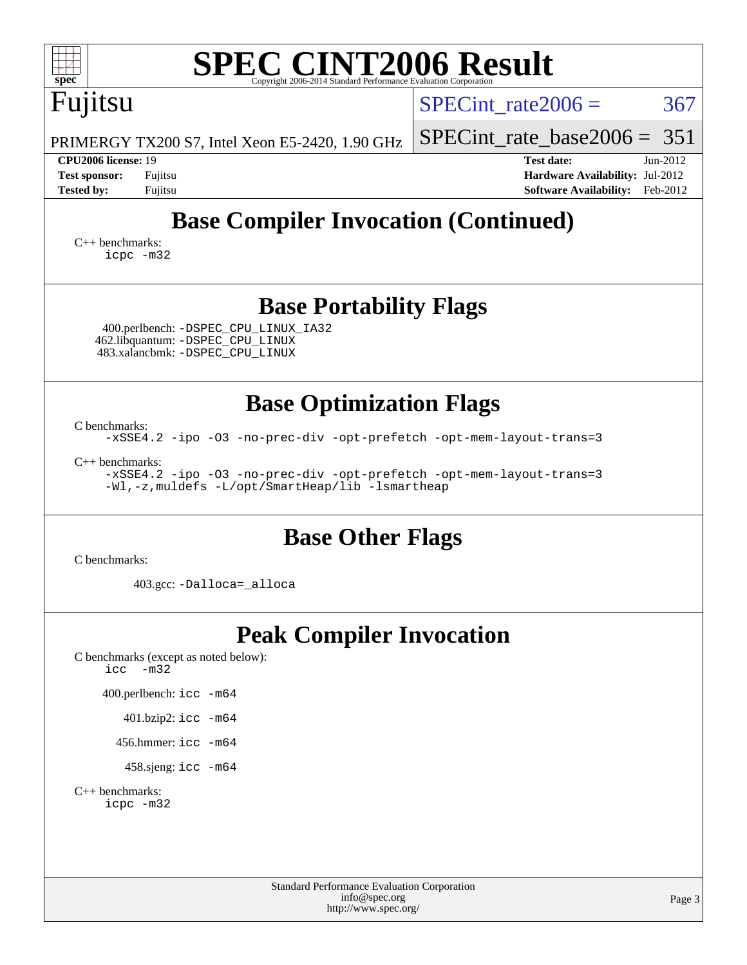| <b>SPEC CINT2006 Result</b><br>$spec^*$<br>Copyright 2006-2014 Standard Performance Evaluation Corporation                                                                                                                                                                  |                                                                                                                 |
|-----------------------------------------------------------------------------------------------------------------------------------------------------------------------------------------------------------------------------------------------------------------------------|-----------------------------------------------------------------------------------------------------------------|
| Fujitsu                                                                                                                                                                                                                                                                     | SPECint rate $2006 =$<br>367                                                                                    |
| PRIMERGY TX200 S7, Intel Xeon E5-2420, 1.90 GHz                                                                                                                                                                                                                             | $SPECint_rate_base2006 = 351$                                                                                   |
| CPU2006 license: 19<br><b>Test sponsor:</b><br>Fujitsu<br><b>Tested by:</b><br>Fujitsu                                                                                                                                                                                      | <b>Test date:</b><br>$Jun-2012$<br>Hardware Availability: Jul-2012<br><b>Software Availability:</b><br>Feb-2012 |
| <b>Base Compiler Invocation (Continued)</b><br>$C_{++}$ benchmarks:<br>icpc -m32                                                                                                                                                                                            |                                                                                                                 |
| <b>Base Portability Flags</b><br>400.perlbench: -DSPEC_CPU_LINUX_IA32<br>462.libquantum: - DSPEC_CPU_LINUX<br>483.xalancbmk: -DSPEC_CPU_LINUX                                                                                                                               |                                                                                                                 |
| <b>Base Optimization Flags</b><br>C benchmarks:<br>-xSSE4.2 -ipo -03 -no-prec-div -opt-prefetch -opt-mem-layout-trans=3<br>$C_{++}$ benchmarks:<br>-xSSE4.2 -ipo -03 -no-prec-div -opt-prefetch -opt-mem-layout-trans=3<br>-Wl,-z, muldefs -L/opt/SmartHeap/lib -lsmartheap |                                                                                                                 |
| <b>Base Other Flags</b><br>C benchmarks:                                                                                                                                                                                                                                    |                                                                                                                 |
| 403.gcc: -Dalloca=_alloca                                                                                                                                                                                                                                                   |                                                                                                                 |
| <b>Peak Compiler Invocation</b><br>C benchmarks (except as noted below):<br>$-m32$<br>icc<br>400.perlbench: icc -m64<br>$401.bzip2:$ icc $-m64$<br>456.hmmer: $\text{icc}$ -m64<br>458.sjeng: icc -m64<br>$C_{++}$ benchmarks:<br>icpc -m32                                 |                                                                                                                 |
| <b>Standard Performance Evaluation Corporation</b><br>info@spec.org<br>http://www.spec.org/                                                                                                                                                                                 | Page 3                                                                                                          |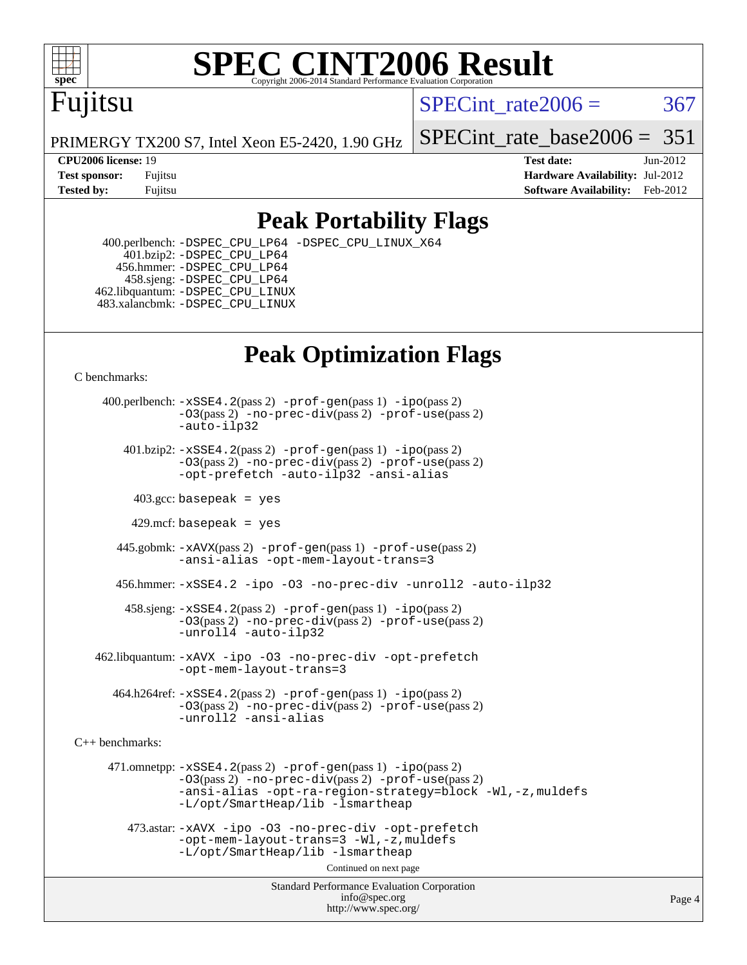

# **[SPEC CINT2006 Result](http://www.spec.org/auto/cpu2006/Docs/result-fields.html#SPECCINT2006Result)**

# Fujitsu

SPECint rate $2006 = 367$ 

PRIMERGY TX200 S7, Intel Xeon E5-2420, 1.90 GHz

[SPECint\\_rate\\_base2006 =](http://www.spec.org/auto/cpu2006/Docs/result-fields.html#SPECintratebase2006)  $351$ 

**[CPU2006 license:](http://www.spec.org/auto/cpu2006/Docs/result-fields.html#CPU2006license)** 19 **[Test date:](http://www.spec.org/auto/cpu2006/Docs/result-fields.html#Testdate)** Jun-2012 **[Test sponsor:](http://www.spec.org/auto/cpu2006/Docs/result-fields.html#Testsponsor)** Fujitsu **[Hardware Availability:](http://www.spec.org/auto/cpu2006/Docs/result-fields.html#HardwareAvailability)** Jul-2012 **[Tested by:](http://www.spec.org/auto/cpu2006/Docs/result-fields.html#Testedby)** Fujitsu **Fugital Example 2012 [Software Availability:](http://www.spec.org/auto/cpu2006/Docs/result-fields.html#SoftwareAvailability)** Feb-2012

#### **[Peak Portability Flags](http://www.spec.org/auto/cpu2006/Docs/result-fields.html#PeakPortabilityFlags)**

 400.perlbench: [-DSPEC\\_CPU\\_LP64](http://www.spec.org/cpu2006/results/res2012q3/cpu2006-20120810-24160.flags.html#b400.perlbench_peakCPORTABILITY_DSPEC_CPU_LP64) [-DSPEC\\_CPU\\_LINUX\\_X64](http://www.spec.org/cpu2006/results/res2012q3/cpu2006-20120810-24160.flags.html#b400.perlbench_peakCPORTABILITY_DSPEC_CPU_LINUX_X64)  $401.bzip2: -DSPEC_CPULP64$  456.hmmer: [-DSPEC\\_CPU\\_LP64](http://www.spec.org/cpu2006/results/res2012q3/cpu2006-20120810-24160.flags.html#suite_peakCPORTABILITY456_hmmer_DSPEC_CPU_LP64) 458.sjeng: [-DSPEC\\_CPU\\_LP64](http://www.spec.org/cpu2006/results/res2012q3/cpu2006-20120810-24160.flags.html#suite_peakCPORTABILITY458_sjeng_DSPEC_CPU_LP64) 462.libquantum: [-DSPEC\\_CPU\\_LINUX](http://www.spec.org/cpu2006/results/res2012q3/cpu2006-20120810-24160.flags.html#b462.libquantum_peakCPORTABILITY_DSPEC_CPU_LINUX) 483.xalancbmk: [-DSPEC\\_CPU\\_LINUX](http://www.spec.org/cpu2006/results/res2012q3/cpu2006-20120810-24160.flags.html#b483.xalancbmk_peakCXXPORTABILITY_DSPEC_CPU_LINUX)

## **[Peak Optimization Flags](http://www.spec.org/auto/cpu2006/Docs/result-fields.html#PeakOptimizationFlags)**

[C benchmarks](http://www.spec.org/auto/cpu2006/Docs/result-fields.html#Cbenchmarks):

 400.perlbench: [-xSSE4.2](http://www.spec.org/cpu2006/results/res2012q3/cpu2006-20120810-24160.flags.html#user_peakPASS2_CFLAGSPASS2_LDCFLAGS400_perlbench_f-xSSE42_f91528193cf0b216347adb8b939d4107)(pass 2) [-prof-gen](http://www.spec.org/cpu2006/results/res2012q3/cpu2006-20120810-24160.flags.html#user_peakPASS1_CFLAGSPASS1_LDCFLAGS400_perlbench_prof_gen_e43856698f6ca7b7e442dfd80e94a8fc)(pass 1) [-ipo](http://www.spec.org/cpu2006/results/res2012q3/cpu2006-20120810-24160.flags.html#user_peakPASS2_CFLAGSPASS2_LDCFLAGS400_perlbench_f-ipo)(pass 2) [-O3](http://www.spec.org/cpu2006/results/res2012q3/cpu2006-20120810-24160.flags.html#user_peakPASS2_CFLAGSPASS2_LDCFLAGS400_perlbench_f-O3)(pass 2) [-no-prec-div](http://www.spec.org/cpu2006/results/res2012q3/cpu2006-20120810-24160.flags.html#user_peakPASS2_CFLAGSPASS2_LDCFLAGS400_perlbench_f-no-prec-div)(pass 2) [-prof-use](http://www.spec.org/cpu2006/results/res2012q3/cpu2006-20120810-24160.flags.html#user_peakPASS2_CFLAGSPASS2_LDCFLAGS400_perlbench_prof_use_bccf7792157ff70d64e32fe3e1250b55)(pass 2) [-auto-ilp32](http://www.spec.org/cpu2006/results/res2012q3/cpu2006-20120810-24160.flags.html#user_peakCOPTIMIZE400_perlbench_f-auto-ilp32)  $401.bzip2: -xSSE4.2(pass 2) -prof-qen(pass 1) -ipo(pass 2)$  $401.bzip2: -xSSE4.2(pass 2) -prof-qen(pass 1) -ipo(pass 2)$  $401.bzip2: -xSSE4.2(pass 2) -prof-qen(pass 1) -ipo(pass 2)$  $401.bzip2: -xSSE4.2(pass 2) -prof-qen(pass 1) -ipo(pass 2)$  $401.bzip2: -xSSE4.2(pass 2) -prof-qen(pass 1) -ipo(pass 2)$ [-O3](http://www.spec.org/cpu2006/results/res2012q3/cpu2006-20120810-24160.flags.html#user_peakPASS2_CFLAGSPASS2_LDCFLAGS401_bzip2_f-O3)(pass 2) [-no-prec-div](http://www.spec.org/cpu2006/results/res2012q3/cpu2006-20120810-24160.flags.html#user_peakPASS2_CFLAGSPASS2_LDCFLAGS401_bzip2_f-no-prec-div)(pass 2) [-prof-use](http://www.spec.org/cpu2006/results/res2012q3/cpu2006-20120810-24160.flags.html#user_peakPASS2_CFLAGSPASS2_LDCFLAGS401_bzip2_prof_use_bccf7792157ff70d64e32fe3e1250b55)(pass 2) [-opt-prefetch](http://www.spec.org/cpu2006/results/res2012q3/cpu2006-20120810-24160.flags.html#user_peakCOPTIMIZE401_bzip2_f-opt-prefetch) [-auto-ilp32](http://www.spec.org/cpu2006/results/res2012q3/cpu2006-20120810-24160.flags.html#user_peakCOPTIMIZE401_bzip2_f-auto-ilp32) [-ansi-alias](http://www.spec.org/cpu2006/results/res2012q3/cpu2006-20120810-24160.flags.html#user_peakCOPTIMIZE401_bzip2_f-ansi-alias)  $403.\text{sec: basepeak}$  = yes 429.mcf: basepeak = yes 445.gobmk: [-xAVX](http://www.spec.org/cpu2006/results/res2012q3/cpu2006-20120810-24160.flags.html#user_peakPASS2_CFLAGSPASS2_LDCFLAGS445_gobmk_f-xAVX)(pass 2) [-prof-gen](http://www.spec.org/cpu2006/results/res2012q3/cpu2006-20120810-24160.flags.html#user_peakPASS1_CFLAGSPASS1_LDCFLAGS445_gobmk_prof_gen_e43856698f6ca7b7e442dfd80e94a8fc)(pass 1) [-prof-use](http://www.spec.org/cpu2006/results/res2012q3/cpu2006-20120810-24160.flags.html#user_peakPASS2_CFLAGSPASS2_LDCFLAGS445_gobmk_prof_use_bccf7792157ff70d64e32fe3e1250b55)(pass 2) [-ansi-alias](http://www.spec.org/cpu2006/results/res2012q3/cpu2006-20120810-24160.flags.html#user_peakCOPTIMIZE445_gobmk_f-ansi-alias) [-opt-mem-layout-trans=3](http://www.spec.org/cpu2006/results/res2012q3/cpu2006-20120810-24160.flags.html#user_peakCOPTIMIZE445_gobmk_f-opt-mem-layout-trans_a7b82ad4bd7abf52556d4961a2ae94d5) 456.hmmer: [-xSSE4.2](http://www.spec.org/cpu2006/results/res2012q3/cpu2006-20120810-24160.flags.html#user_peakCOPTIMIZE456_hmmer_f-xSSE42_f91528193cf0b216347adb8b939d4107) [-ipo](http://www.spec.org/cpu2006/results/res2012q3/cpu2006-20120810-24160.flags.html#user_peakCOPTIMIZE456_hmmer_f-ipo) [-O3](http://www.spec.org/cpu2006/results/res2012q3/cpu2006-20120810-24160.flags.html#user_peakCOPTIMIZE456_hmmer_f-O3) [-no-prec-div](http://www.spec.org/cpu2006/results/res2012q3/cpu2006-20120810-24160.flags.html#user_peakCOPTIMIZE456_hmmer_f-no-prec-div) [-unroll2](http://www.spec.org/cpu2006/results/res2012q3/cpu2006-20120810-24160.flags.html#user_peakCOPTIMIZE456_hmmer_f-unroll_784dae83bebfb236979b41d2422d7ec2) [-auto-ilp32](http://www.spec.org/cpu2006/results/res2012q3/cpu2006-20120810-24160.flags.html#user_peakCOPTIMIZE456_hmmer_f-auto-ilp32) 458.sjeng: [-xSSE4.2](http://www.spec.org/cpu2006/results/res2012q3/cpu2006-20120810-24160.flags.html#user_peakPASS2_CFLAGSPASS2_LDCFLAGS458_sjeng_f-xSSE42_f91528193cf0b216347adb8b939d4107)(pass 2) [-prof-gen](http://www.spec.org/cpu2006/results/res2012q3/cpu2006-20120810-24160.flags.html#user_peakPASS1_CFLAGSPASS1_LDCFLAGS458_sjeng_prof_gen_e43856698f6ca7b7e442dfd80e94a8fc)(pass 1) [-ipo](http://www.spec.org/cpu2006/results/res2012q3/cpu2006-20120810-24160.flags.html#user_peakPASS2_CFLAGSPASS2_LDCFLAGS458_sjeng_f-ipo)(pass 2) [-O3](http://www.spec.org/cpu2006/results/res2012q3/cpu2006-20120810-24160.flags.html#user_peakPASS2_CFLAGSPASS2_LDCFLAGS458_sjeng_f-O3)(pass 2) [-no-prec-div](http://www.spec.org/cpu2006/results/res2012q3/cpu2006-20120810-24160.flags.html#user_peakPASS2_CFLAGSPASS2_LDCFLAGS458_sjeng_f-no-prec-div)(pass 2) [-prof-use](http://www.spec.org/cpu2006/results/res2012q3/cpu2006-20120810-24160.flags.html#user_peakPASS2_CFLAGSPASS2_LDCFLAGS458_sjeng_prof_use_bccf7792157ff70d64e32fe3e1250b55)(pass 2) [-unroll4](http://www.spec.org/cpu2006/results/res2012q3/cpu2006-20120810-24160.flags.html#user_peakCOPTIMIZE458_sjeng_f-unroll_4e5e4ed65b7fd20bdcd365bec371b81f) [-auto-ilp32](http://www.spec.org/cpu2006/results/res2012q3/cpu2006-20120810-24160.flags.html#user_peakCOPTIMIZE458_sjeng_f-auto-ilp32) 462.libquantum: [-xAVX](http://www.spec.org/cpu2006/results/res2012q3/cpu2006-20120810-24160.flags.html#user_peakCOPTIMIZE462_libquantum_f-xAVX) [-ipo](http://www.spec.org/cpu2006/results/res2012q3/cpu2006-20120810-24160.flags.html#user_peakCOPTIMIZE462_libquantum_f-ipo) [-O3](http://www.spec.org/cpu2006/results/res2012q3/cpu2006-20120810-24160.flags.html#user_peakCOPTIMIZE462_libquantum_f-O3) [-no-prec-div](http://www.spec.org/cpu2006/results/res2012q3/cpu2006-20120810-24160.flags.html#user_peakCOPTIMIZE462_libquantum_f-no-prec-div) [-opt-prefetch](http://www.spec.org/cpu2006/results/res2012q3/cpu2006-20120810-24160.flags.html#user_peakCOPTIMIZE462_libquantum_f-opt-prefetch) [-opt-mem-layout-trans=3](http://www.spec.org/cpu2006/results/res2012q3/cpu2006-20120810-24160.flags.html#user_peakCOPTIMIZE462_libquantum_f-opt-mem-layout-trans_a7b82ad4bd7abf52556d4961a2ae94d5)

 $464.h264$ ref:  $-xSSE4$ .  $2(pass 2)$  [-prof-gen](http://www.spec.org/cpu2006/results/res2012q3/cpu2006-20120810-24160.flags.html#user_peakPASS1_CFLAGSPASS1_LDCFLAGS464_h264ref_prof_gen_e43856698f6ca7b7e442dfd80e94a8fc) $(pass 1)$  [-ipo](http://www.spec.org/cpu2006/results/res2012q3/cpu2006-20120810-24160.flags.html#user_peakPASS2_CFLAGSPASS2_LDCFLAGS464_h264ref_f-ipo) $(pass 2)$ [-O3](http://www.spec.org/cpu2006/results/res2012q3/cpu2006-20120810-24160.flags.html#user_peakPASS2_CFLAGSPASS2_LDCFLAGS464_h264ref_f-O3)(pass 2) [-no-prec-div](http://www.spec.org/cpu2006/results/res2012q3/cpu2006-20120810-24160.flags.html#user_peakPASS2_CFLAGSPASS2_LDCFLAGS464_h264ref_f-no-prec-div)(pass 2) [-prof-use](http://www.spec.org/cpu2006/results/res2012q3/cpu2006-20120810-24160.flags.html#user_peakPASS2_CFLAGSPASS2_LDCFLAGS464_h264ref_prof_use_bccf7792157ff70d64e32fe3e1250b55)(pass 2) [-unroll2](http://www.spec.org/cpu2006/results/res2012q3/cpu2006-20120810-24160.flags.html#user_peakCOPTIMIZE464_h264ref_f-unroll_784dae83bebfb236979b41d2422d7ec2) [-ansi-alias](http://www.spec.org/cpu2006/results/res2012q3/cpu2006-20120810-24160.flags.html#user_peakCOPTIMIZE464_h264ref_f-ansi-alias)

[C++ benchmarks:](http://www.spec.org/auto/cpu2006/Docs/result-fields.html#CXXbenchmarks)

 471.omnetpp: [-xSSE4.2](http://www.spec.org/cpu2006/results/res2012q3/cpu2006-20120810-24160.flags.html#user_peakPASS2_CXXFLAGSPASS2_LDCXXFLAGS471_omnetpp_f-xSSE42_f91528193cf0b216347adb8b939d4107)(pass 2) [-prof-gen](http://www.spec.org/cpu2006/results/res2012q3/cpu2006-20120810-24160.flags.html#user_peakPASS1_CXXFLAGSPASS1_LDCXXFLAGS471_omnetpp_prof_gen_e43856698f6ca7b7e442dfd80e94a8fc)(pass 1) [-ipo](http://www.spec.org/cpu2006/results/res2012q3/cpu2006-20120810-24160.flags.html#user_peakPASS2_CXXFLAGSPASS2_LDCXXFLAGS471_omnetpp_f-ipo)(pass 2) [-O3](http://www.spec.org/cpu2006/results/res2012q3/cpu2006-20120810-24160.flags.html#user_peakPASS2_CXXFLAGSPASS2_LDCXXFLAGS471_omnetpp_f-O3)(pass 2) [-no-prec-div](http://www.spec.org/cpu2006/results/res2012q3/cpu2006-20120810-24160.flags.html#user_peakPASS2_CXXFLAGSPASS2_LDCXXFLAGS471_omnetpp_f-no-prec-div)(pass 2) [-prof-use](http://www.spec.org/cpu2006/results/res2012q3/cpu2006-20120810-24160.flags.html#user_peakPASS2_CXXFLAGSPASS2_LDCXXFLAGS471_omnetpp_prof_use_bccf7792157ff70d64e32fe3e1250b55)(pass 2) [-ansi-alias](http://www.spec.org/cpu2006/results/res2012q3/cpu2006-20120810-24160.flags.html#user_peakCXXOPTIMIZE471_omnetpp_f-ansi-alias) [-opt-ra-region-strategy=block](http://www.spec.org/cpu2006/results/res2012q3/cpu2006-20120810-24160.flags.html#user_peakCXXOPTIMIZE471_omnetpp_f-opt-ra-region-strategy_a0a37c372d03933b2a18d4af463c1f69) [-Wl,-z,muldefs](http://www.spec.org/cpu2006/results/res2012q3/cpu2006-20120810-24160.flags.html#user_peakEXTRA_LDFLAGS471_omnetpp_link_force_multiple1_74079c344b956b9658436fd1b6dd3a8a) [-L/opt/SmartHeap/lib -lsmartheap](http://www.spec.org/cpu2006/results/res2012q3/cpu2006-20120810-24160.flags.html#user_peakEXTRA_LIBS471_omnetpp_SmartHeap_1046f488ce4b4d9d2689b01742ccb999)

 473.astar: [-xAVX](http://www.spec.org/cpu2006/results/res2012q3/cpu2006-20120810-24160.flags.html#user_peakCXXOPTIMIZE473_astar_f-xAVX) [-ipo](http://www.spec.org/cpu2006/results/res2012q3/cpu2006-20120810-24160.flags.html#user_peakCXXOPTIMIZE473_astar_f-ipo) [-O3](http://www.spec.org/cpu2006/results/res2012q3/cpu2006-20120810-24160.flags.html#user_peakCXXOPTIMIZE473_astar_f-O3) [-no-prec-div](http://www.spec.org/cpu2006/results/res2012q3/cpu2006-20120810-24160.flags.html#user_peakCXXOPTIMIZE473_astar_f-no-prec-div) [-opt-prefetch](http://www.spec.org/cpu2006/results/res2012q3/cpu2006-20120810-24160.flags.html#user_peakCXXOPTIMIZE473_astar_f-opt-prefetch) [-opt-mem-layout-trans=3](http://www.spec.org/cpu2006/results/res2012q3/cpu2006-20120810-24160.flags.html#user_peakCXXOPTIMIZE473_astar_f-opt-mem-layout-trans_a7b82ad4bd7abf52556d4961a2ae94d5) [-Wl,-z,muldefs](http://www.spec.org/cpu2006/results/res2012q3/cpu2006-20120810-24160.flags.html#user_peakEXTRA_LDFLAGS473_astar_link_force_multiple1_74079c344b956b9658436fd1b6dd3a8a) [-L/opt/SmartHeap/lib -lsmartheap](http://www.spec.org/cpu2006/results/res2012q3/cpu2006-20120810-24160.flags.html#user_peakEXTRA_LIBS473_astar_SmartHeap_1046f488ce4b4d9d2689b01742ccb999)

Continued on next page

Standard Performance Evaluation Corporation [info@spec.org](mailto:info@spec.org) <http://www.spec.org/>

Page 4